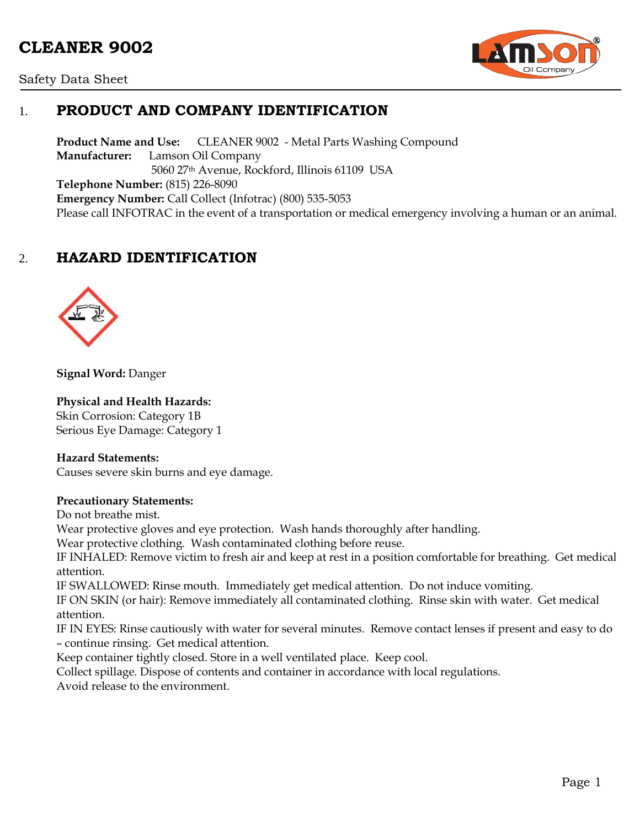# **CLEANER 9002**





## 1. **PRODUCT AND COMPANY IDENTIFICATION**

**Product Name and Use:** CLEANER 9002 - Metal Parts Washing Compound **Manufacturer:** Lamson Oil Company 5060 27th Avenue, Rockford, Illinois 61109 USA **Telephone Number:** (815) 226-8090 **Emergency Number:** Call Collect (Infotrac) (800) 535-5053 Please call INFOTRAC in the event of a transportation or medical emergency involving a human or an animal.

## 2. **HAZARD IDENTIFICATION**



**Signal Word:** Danger

#### **Physical and Health Hazards:**

Skin Corrosion: Category 1B Serious Eye Damage: Category 1

#### **Hazard Statements:**

Causes severe skin burns and eye damage.

#### **Precautionary Statements:**

Do not breathe mist.

Wear protective gloves and eye protection. Wash hands thoroughly after handling.

Wear protective clothing. Wash contaminated clothing before reuse.

IF INHALED: Remove victim to fresh air and keep at rest in a position comfortable for breathing. Get medical attention.

IF SWALLOWED: Rinse mouth. Immediately get medical attention. Do not induce vomiting.

IF ON SKIN (or hair): Remove immediately all contaminated clothing. Rinse skin with water. Get medical attention.

IF IN EYES: Rinse cautiously with water for several minutes. Remove contact lenses if present and easy to do – continue rinsing. Get medical attention.

Keep container tightly closed. Store in a well ventilated place. Keep cool.

Collect spillage. Dispose of contents and container in accordance with local regulations.

Avoid release to the environment.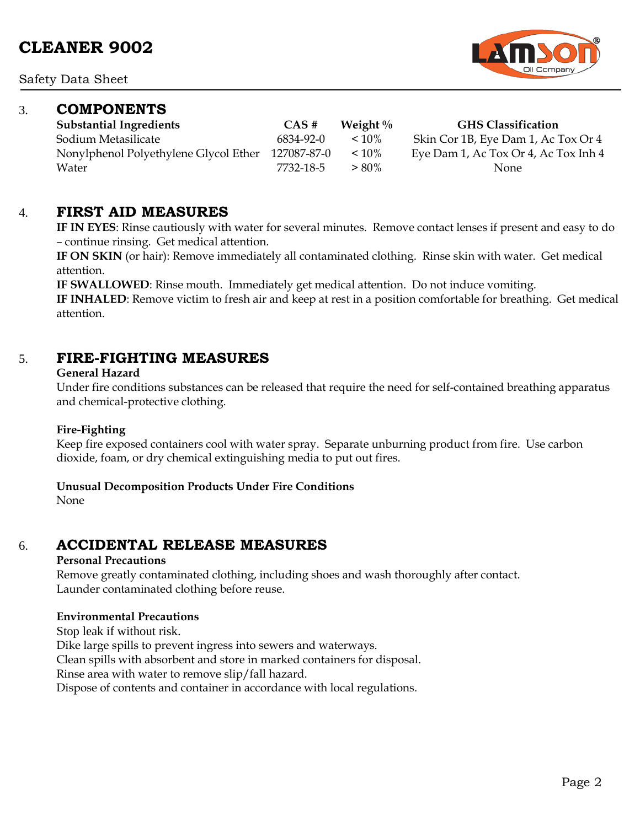Safety Data Sheet

### 3. **COMPONENTS**

**Substantial Ingredients CAS # Weight % GHS Classification** Sodium Metasilicate 6834-92-0 < 10% Skin Cor 1B, Eye Dam 1, Ac Tox Or 4 Nonylphenol Polyethylene Glycol Ether 127087-87-0 < 10% Eye Dam 1, Ac Tox Or 4, Ac Tox Inh 4  $Water$   $7732-18-5$   $>80\%$  None

### 4. **FIRST AID MEASURES**

**IF IN EYES**: Rinse cautiously with water for several minutes. Remove contact lenses if present and easy to do – continue rinsing. Get medical attention.

**IF ON SKIN** (or hair): Remove immediately all contaminated clothing. Rinse skin with water. Get medical attention.

**IF SWALLOWED**: Rinse mouth. Immediately get medical attention. Do not induce vomiting.

**IF INHALED**: Remove victim to fresh air and keep at rest in a position comfortable for breathing. Get medical attention.

### 5. **FIRE-FIGHTING MEASURES**

#### **General Hazard**

Under fire conditions substances can be released that require the need for self-contained breathing apparatus and chemical-protective clothing.

#### **Fire-Fighting**

Keep fire exposed containers cool with water spray. Separate unburning product from fire. Use carbon dioxide, foam, or dry chemical extinguishing media to put out fires.

#### **Unusual Decomposition Products Under Fire Conditions**

None

### 6. **ACCIDENTAL RELEASE MEASURES**

#### **Personal Precautions**

Remove greatly contaminated clothing, including shoes and wash thoroughly after contact. Launder contaminated clothing before reuse.

#### **Environmental Precautions**

Stop leak if without risk.

Dike large spills to prevent ingress into sewers and waterways.

Clean spills with absorbent and store in marked containers for disposal.

Rinse area with water to remove slip/fall hazard.

Dispose of contents and container in accordance with local regulations.

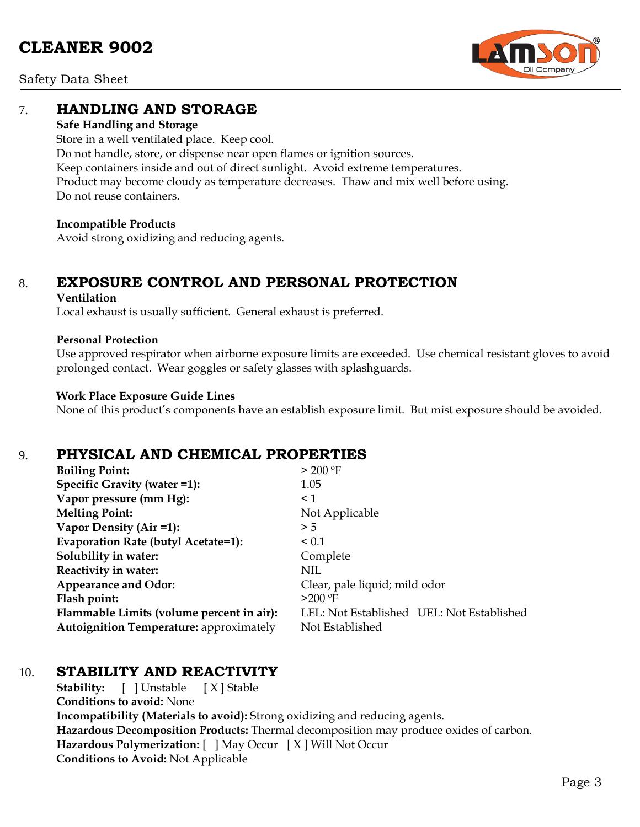

Safety Data Sheet

### 7. **HANDLING AND STORAGE**

#### **Safe Handling and Storage**

Store in a well ventilated place. Keep cool. Do not handle, store, or dispense near open flames or ignition sources. Keep containers inside and out of direct sunlight. Avoid extreme temperatures. Product may become cloudy as temperature decreases. Thaw and mix well before using. Do not reuse containers.

#### **Incompatible Products**

Avoid strong oxidizing and reducing agents.

## 8. **EXPOSURE CONTROL AND PERSONAL PROTECTION**

#### **Ventilation**

Local exhaust is usually sufficient. General exhaust is preferred.

#### **Personal Protection**

Use approved respirator when airborne exposure limits are exceeded. Use chemical resistant gloves to avoid prolonged contact. Wear goggles or safety glasses with splashguards.

#### **Work Place Exposure Guide Lines**

None of this product's components have an establish exposure limit. But mist exposure should be avoided.

## 9. **PHYSICAL AND CHEMICAL PROPERTIES**

| <b>Boiling Point:</b>                          | > 200 °F                                  |
|------------------------------------------------|-------------------------------------------|
| Specific Gravity (water =1):                   | 1.05                                      |
| Vapor pressure (mm Hg):                        | $\leq$ 1                                  |
| <b>Melting Point:</b>                          | Not Applicable                            |
| Vapor Density (Air =1):                        | > 5                                       |
| Evaporation Rate (butyl Acetate=1):            | < 0.1                                     |
| Solubility in water:                           | Complete                                  |
| Reactivity in water:                           | NIL                                       |
| <b>Appearance and Odor:</b>                    | Clear, pale liquid; mild odor             |
| Flash point:                                   | $>200$ °F                                 |
| Flammable Limits (volume percent in air):      | LEL: Not Established UEL: Not Established |
| <b>Autoignition Temperature: approximately</b> | Not Established                           |

## 10. **STABILITY AND REACTIVITY**

**Stability:** [ ] Unstable [ X ] Stable **Conditions to avoid:** None **Incompatibility (Materials to avoid):** Strong oxidizing and reducing agents. **Hazardous Decomposition Products:** Thermal decomposition may produce oxides of carbon. **Hazardous Polymerization:** [ ] May Occur [ X ] Will Not Occur **Conditions to Avoid:** Not Applicable